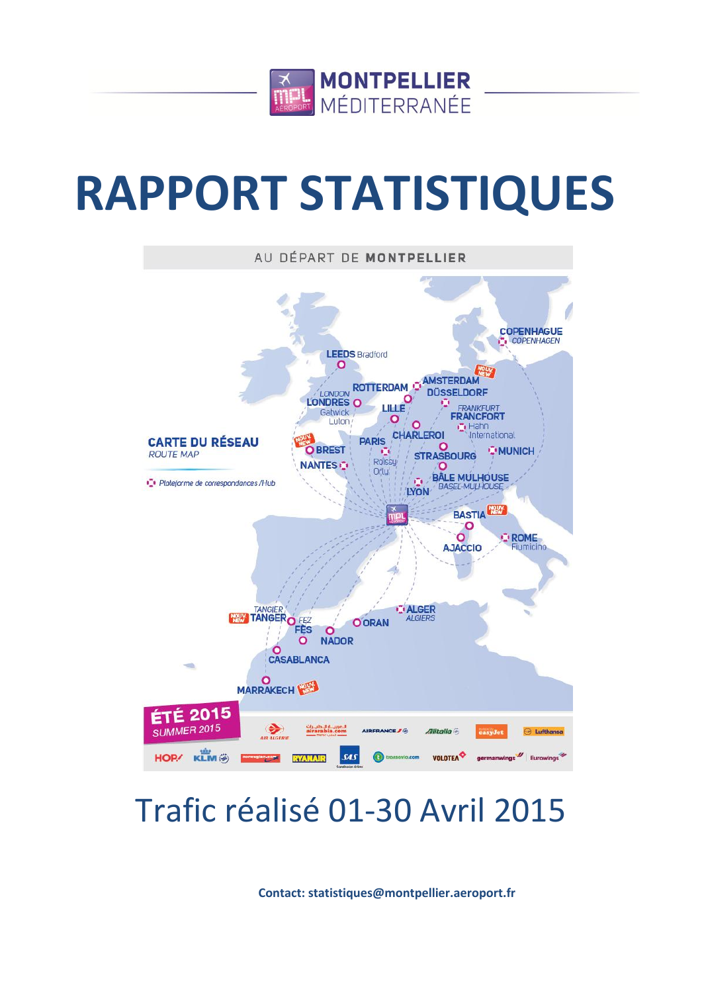

# **RAPPORT STATISTIQUES**



# Trafic réalisé 01-30 Avril 2015

**Contact: statistiques@montpellier.aeroport.fr**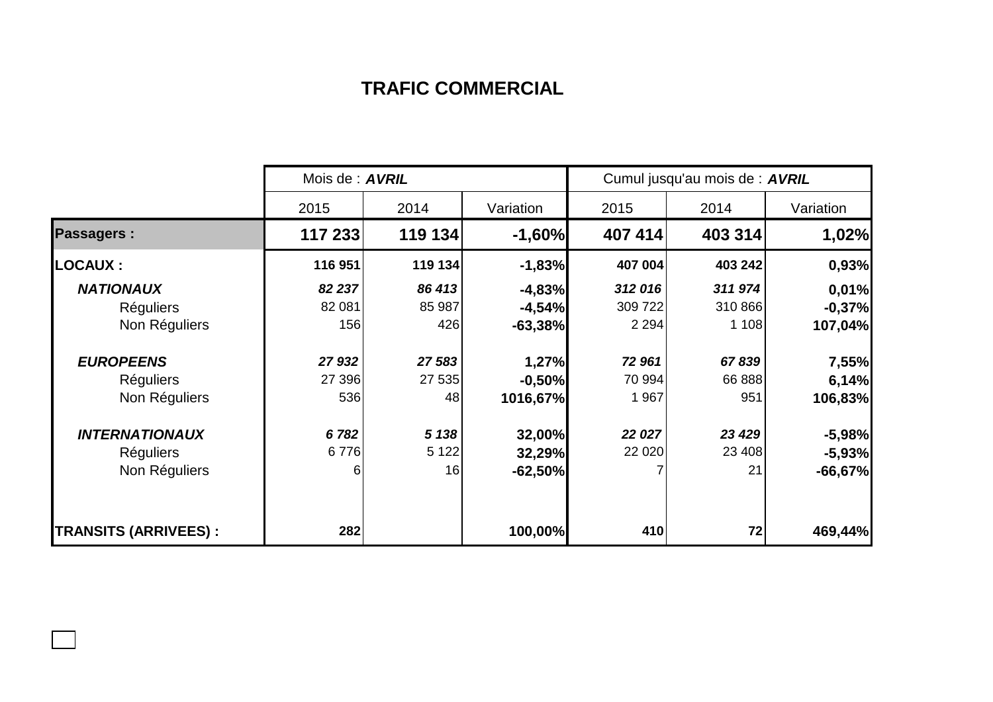## **TRAFIC COMMERCIAL**

|                             | Mois de : <b>AVRIL</b> |         |           | Cumul jusqu'au mois de : AVRIL |         |           |  |
|-----------------------------|------------------------|---------|-----------|--------------------------------|---------|-----------|--|
|                             | 2015                   | 2014    | Variation | 2015                           | 2014    | Variation |  |
| <b>Passagers:</b>           | 117 233                | 119 134 | $-1,60%$  | 407 414                        | 403 314 | 1,02%     |  |
| <b>LOCAUX:</b>              | 116 951                | 119 134 | $-1,83%$  | 407 004                        | 403 242 | 0,93%     |  |
| <b>NATIONAUX</b>            | 82 237                 | 86 413  | $-4,83%$  | 312 016                        | 311974  | 0,01%     |  |
| <b>Réguliers</b>            | 82 081                 | 85 987  | $-4,54%$  | 309 722                        | 310 866 | $-0,37%$  |  |
| Non Réguliers               | 156                    | 426     | $-63,38%$ | 2 2 9 4                        | 1 1 0 8 | 107,04%   |  |
| <b>EUROPEENS</b>            | 27 932                 | 27 583  | 1,27%     | 72 961                         | 67839   | 7,55%     |  |
| <b>Réguliers</b>            | 27 396                 | 27 535  | $-0,50%$  | 70 994                         | 66 888  | 6,14%     |  |
| Non Réguliers               | 536                    | 48      | 1016,67%  | 1 967                          | 951     | 106,83%   |  |
| <b>INTERNATIONAUX</b>       | 6782                   | 5 1 38  | 32,00%    | 22 027                         | 23 4 29 | $-5,98%$  |  |
| <b>Réguliers</b>            | 6776                   | 5 1 2 2 | 32,29%    | 22 0 20                        | 23 408  | $-5,93%$  |  |
| Non Réguliers               | 6                      | 16      | $-62,50%$ |                                | 21      | $-66,67%$ |  |
| <b>TRANSITS (ARRIVEES):</b> | 282                    |         | 100,00%   | 410                            | 72      | 469,44%   |  |

 $\Box$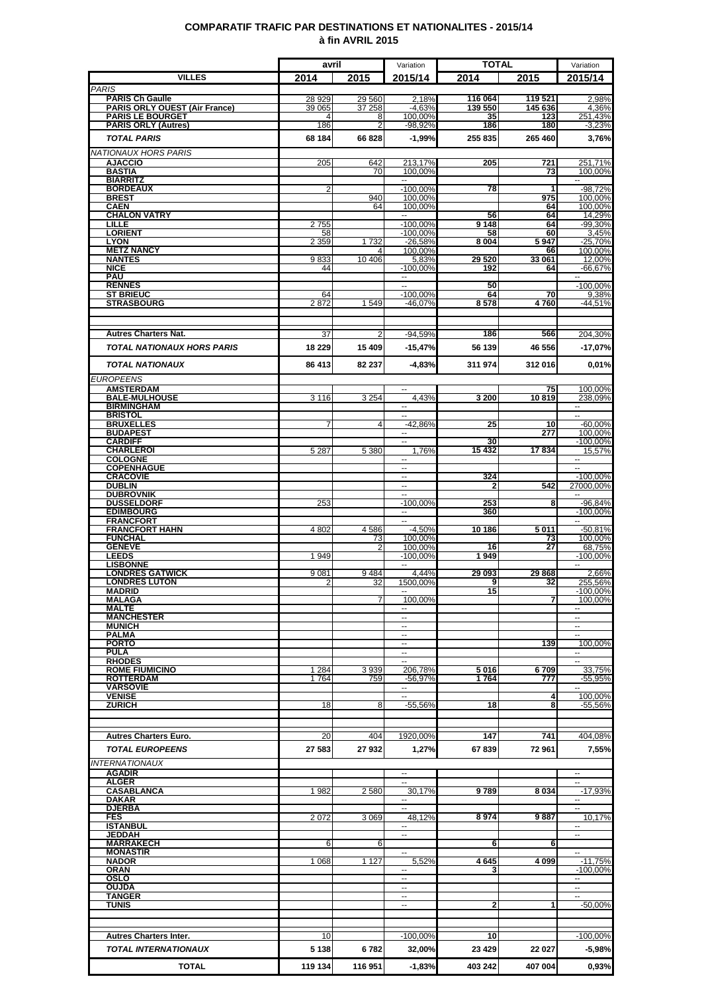### **COMPARATIF TRAFIC PAR DESTINATIONS ET NATIONALITES - 2015/14 à fin AVRIL 2015**

|                                                                | avril             |                  | Variation                              | <b>TOTAL</b>       |                    | Variation                              |
|----------------------------------------------------------------|-------------------|------------------|----------------------------------------|--------------------|--------------------|----------------------------------------|
| <b>VILLES</b>                                                  | 2014              | 2015             | 2015/14                                | 2014               | 2015               | 2015/14                                |
| <b>PARIS</b>                                                   |                   |                  |                                        |                    |                    |                                        |
| <b>PARIS Ch Gaulle</b><br><b>PARIS ORLY OUEST (Air France)</b> | 28 929<br>39 065  | 29 560<br>37 258 | 2,18%<br>$-4,63%$                      | 116 064<br>139 550 | 119 521<br>145 636 | 2,98%<br>4,36%                         |
| <b>PARIS LE BOURGET</b>                                        | 4                 | 8                | 100.00%                                | 35                 | 123                | 251,43%                                |
| <b>PARIS ORLY (Autres)</b>                                     | 186               | 2                | $-98,92%$                              | 186                | 180                | $-3,23%$                               |
| <b>TOTAL PARIS</b>                                             | 68 184            | 66828            | $-1,99%$                               | 255 835            | 265 460            | 3,76%                                  |
| <b>NATIONAUX HORS PARIS</b>                                    |                   |                  |                                        |                    |                    |                                        |
| <b>AJACCIO</b><br><b>BASTIA</b>                                | 205               | 642<br>70        | 213,17%<br>100,00%                     | 205                | 721<br>73          | 251,71%<br>100,00%                     |
| <b>BIARRITZ</b>                                                |                   |                  | н.                                     |                    |                    | $\overline{\phantom{a}}$               |
| <b>BORDEAUX</b><br><b>BREST</b>                                | $\overline{2}$    | 940              | $-100,00%$<br>100,00%                  | 78                 | 1<br>975           | $-98,72%$<br>100,00%                   |
| <b>CAEN</b>                                                    |                   | 64               | 100,00%                                |                    | 64                 | 100.00%                                |
| <b>CHALON VATRY</b><br>LILLE                                   | 2755              |                  | н.<br>$-100,00%$                       | 56<br>9148         | 64<br>64           | 14,29%<br>$-99,30%$                    |
| <b>LORIENT</b>                                                 | 58                |                  | $-100,00%$                             | 58                 | 60                 | 3,45%                                  |
| <b>LYON</b><br><b>METZ NANCY</b>                               | 2 3 5 9           | 1732             | $-26,58%$<br>100,00%                   | 8 0 0 4            | 5947<br>66         | $-25,70%$<br>100,00%                   |
| <b>NANTES</b>                                                  | 9833              | 10 40 6          | 5,83%                                  | 29 5 20            | 33 061             | 12,00%                                 |
| <b>NICE</b><br><b>PAU</b>                                      | 44                |                  | $-100,00%$<br>$\overline{\phantom{a}}$ | 192                | 64                 | $-66,67%$                              |
| <b>RENNES</b>                                                  |                   |                  | ٠.                                     | 50                 |                    | $-100,00\%$                            |
| <b>ST BRIEUC</b><br><b>STRASBOURG</b>                          | 64<br>2872        |                  | $-100,00%$<br>$-46,07%$                | 64<br>8578         | 70<br>4760         | 9,38%                                  |
|                                                                |                   | 1549             |                                        |                    |                    | $-44,51%$                              |
|                                                                |                   |                  |                                        |                    |                    |                                        |
| <b>Autres Charters Nat.</b>                                    | 37                | 2                | $-94,59%$                              | 186                | 566                | 204,30%                                |
| <b>TOTAL NATIONAUX HORS PARIS</b>                              | 18 2 29           | 15 409           | $-15,47%$                              | 56 139             | 46 556             | -17,07%                                |
| <b>TOTAL NATIONAUX</b>                                         | 86 413            | 82 237           | $-4,83%$                               | 311 974            | 312016             | 0,01%                                  |
| <b>EUROPEENS</b>                                               |                   |                  |                                        |                    |                    |                                        |
| <b>AMSTERDAM</b>                                               |                   |                  | $\overline{\phantom{a}}$               |                    | 75                 | 100.00%                                |
| <b>BALE-MULHOUSE</b>                                           | 3 1 1 6           | 3 2 5 4          | 4.43%                                  | 3 200              | 10819              | 238,09%                                |
| <b>BIRMINGHAM</b><br><b>BRISTOL</b>                            |                   |                  | н.<br>$\sim$                           |                    |                    | 4<br>$\sim$                            |
| <b>BRUXELLES</b>                                               |                   | Δ                | -42,86%                                | 25                 | 10                 | $-60,00%$                              |
| <b>BUDAPEST</b><br><b>CARDIFF</b>                              |                   |                  | $\overline{\phantom{a}}$<br>--         | 30                 | 277                | 100,00%<br>$-100,00%$                  |
| <b>CHARLEROI</b>                                               | 5 2 8 7           | 5 3 8 0          | 1,76%                                  | 15432              | 17834              | 15,57%                                 |
| <b>COLOGNE</b><br><b>COPENHAGUE</b>                            |                   |                  |                                        |                    |                    |                                        |
| <b>CRACOVIE</b>                                                |                   |                  | --                                     | 324                |                    | $-100,00%$                             |
| <b>DUBLIN</b><br><b>DUBROVNIK</b>                              |                   |                  |                                        | 2                  | 542                | 27000,00%                              |
| <b>DUSSELDORF</b>                                              | 253               |                  | $-100.00%$                             | 253                | 8                  | $-96,84%$                              |
| <b>EDIMBOURG</b><br><b>FRANCFORT</b>                           |                   |                  | --<br>Ξ                                | 360                |                    | $-100,00%$<br>$\overline{\phantom{a}}$ |
| <b>FRANCFORT HAHN</b>                                          | 4 8 0 2           | 4586             | $-4,50%$                               | 10 186             | 5011               | $-50,81%$                              |
| <b>FUNCHAL</b><br><b>GENEVE</b>                                |                   | 73<br>2          | 100.00%<br>100,00%                     | 16                 | 73<br>27           | 100,00%<br>68,75%                      |
| <b>LEEDS</b>                                                   | 1 9 4 9           |                  | $-100.00\%$                            | 1949               |                    | $-100,00%$                             |
| <b>LISBONNE</b><br><b>LONDRES GATWICK</b>                      | 9081              | 9484             | 4,44%                                  | 29 093             | 29868              |                                        |
| <b>LONDRES LUTON</b>                                           | $\overline{2}$    | 32               | 1500,00%                               | 9                  | 32                 | 2,66%<br>255,56%                       |
| <b>MADRID</b>                                                  |                   |                  | −−                                     | 15                 |                    | $-100,00%$                             |
| <b>MALAGA</b><br><b>MALTE</b>                                  |                   |                  | 100,00%<br>--                          |                    | 7                  | 100,00%<br>--                          |
| <b>MANCHESTER</b>                                              |                   |                  | $\sim$                                 |                    |                    | $\sim$                                 |
| <b>MUNICH</b><br><b>PALMA</b>                                  |                   |                  | н.<br>$\ddotsc$                        |                    |                    | $\overline{\phantom{a}}$               |
| <b>PORTO</b>                                                   |                   |                  | --                                     |                    | 139                | 100,00%                                |
| <b>PULA</b><br><b>RHODES</b>                                   |                   |                  | $\overline{\phantom{a}}$<br>-−         |                    |                    | $\sim$<br>$\overline{\phantom{a}}$     |
| <b>ROME FIUMICINO</b>                                          | 1 2 8 4           | 3939             | 206.78%                                | 5016               | 6709               | 33,75%                                 |
| <b>ROTTERDAM</b><br><b>VARSOVIE</b>                            | 1764              | 759              | $-56,97%$<br>$\overline{\phantom{a}}$  | 1764               | 777                | $-55,95%$                              |
| <b>VENISE</b>                                                  |                   |                  | --                                     |                    | 4                  | 100.00%                                |
| <b>ZURICH</b>                                                  | 18                | 8                | $-55,56%$                              | 18                 | 8                  | -55,56%                                |
|                                                                |                   |                  |                                        |                    |                    |                                        |
| <b>Autres Charters Euro.</b>                                   | 20                | 404              | 1920,00%                               | 147                | 741                | 404,08%                                |
| <b>TOTAL EUROPEENS</b>                                         | 27 583            | 27932            | 1,27%                                  | 67839              | 72961              | 7,55%                                  |
| <b>INTERNATIONAUX</b>                                          |                   |                  |                                        |                    |                    |                                        |
| <b>AGADIR</b>                                                  |                   |                  | $\overline{a}$                         |                    |                    | $\overline{a}$                         |
| <b>ALGER</b><br><b>CASABLANCA</b>                              | 1982              | 2580             | ш,<br>30,17%                           | 9789               | 8034               | $\overline{\phantom{a}}$<br>$-17,93%$  |
| <b>DAKAR</b>                                                   |                   |                  | --                                     |                    |                    | ۰.                                     |
| <b>DJERBA</b><br><b>FES</b>                                    | $2\overline{072}$ | 3 0 6 9          | $\overline{a}$<br>48,12%               | 8974               | 9887               | $\overline{a}$<br>10,17%               |
| <b>ISTANBUL</b>                                                |                   |                  | $\sim$                                 |                    |                    | $\sim$                                 |
| JEDDAH<br><b>MARRAKECH</b>                                     | 6                 | 6                | --                                     | 6                  | 6                  | $\overline{\phantom{a}}$               |
| <b>MONASTIR</b>                                                |                   |                  | --                                     |                    |                    | $\overline{\phantom{a}}$               |
| <b>NADOR</b><br><b>ORAN</b>                                    | 1 0 6 8           | 1 1 2 7          | 5,52%                                  | 4645               | 4 0 9 9            | $-11,75%$<br>$-100.00%$                |
| <b>OSLO</b>                                                    |                   |                  | --<br>$\overline{a}$                   |                    |                    |                                        |
| <b>OUJDA</b>                                                   |                   |                  | --                                     |                    |                    |                                        |
| <b>TANGER</b><br><b>TUNIS</b>                                  |                   |                  | $\overline{a}$                         | 2                  |                    | $-50,00%$                              |
|                                                                |                   |                  |                                        |                    |                    |                                        |
|                                                                |                   |                  |                                        |                    |                    |                                        |
| <b>Autres Charters Inter.</b>                                  | 10                |                  | $-100,00%$                             | 10                 |                    | $-100,00%$                             |
| <b>TOTAL INTERNATIONAUX</b>                                    | 5 1 3 8           | 6782             | 32,00%                                 | 23 4 29            | 22 027             | -5,98%                                 |
| <b>TOTAL</b>                                                   | 119 134           | 116 951          | $-1,83%$                               | 403 242            | 407 004            | 0,93%                                  |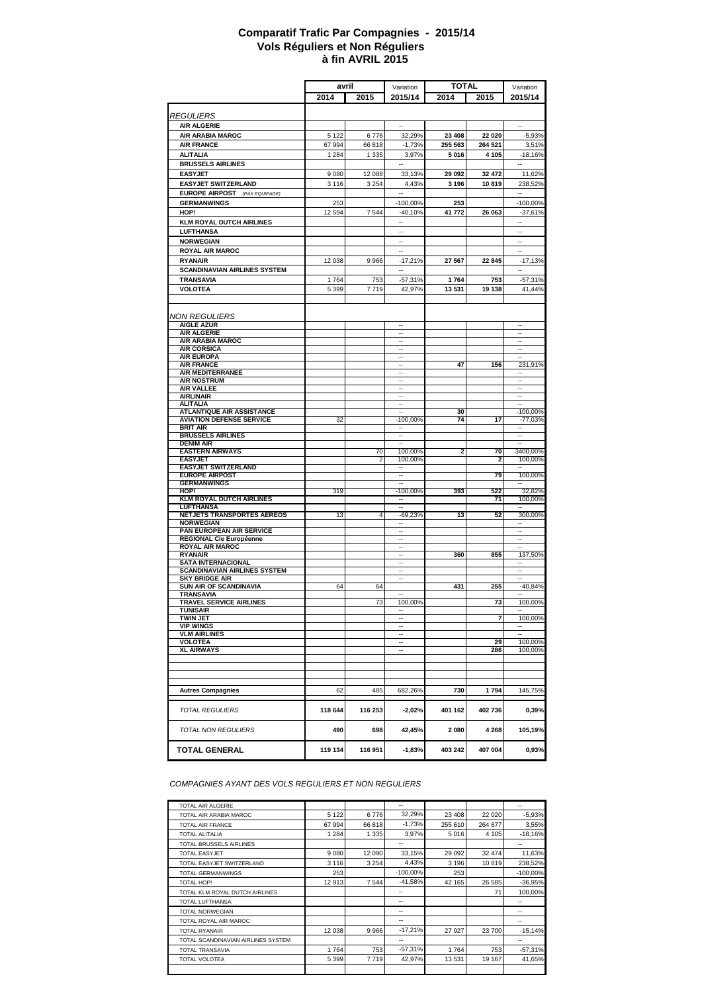#### **à fin AVRIL 2015 Comparatif Trafic Par Compagnies - 2015/14 Vols Réguliers et Non Réguliers**

|                                                | avril   |                | <b>TOTAL</b>             |         |         |                          |
|------------------------------------------------|---------|----------------|--------------------------|---------|---------|--------------------------|
|                                                |         |                | Variation                |         |         | Variation                |
|                                                | 2014    | 2015           | 2015/14                  | 2014    | 2015    | 2015/14                  |
|                                                |         |                |                          |         |         |                          |
| <b>REGULIERS</b>                               |         |                |                          |         |         |                          |
| <b>AIR ALGERIE</b>                             |         |                |                          |         |         | ä.                       |
| <b>AIR ARABIA MAROC</b>                        | 5 1 2 2 | 6776           | 32,29%                   | 23 4 08 | 22 020  | $-5,93%$                 |
| <b>AIR FRANCE</b>                              | 67 994  | 66 818         | $-1,73%$                 | 255 563 | 264 521 | 3,51%                    |
| <b>ALITALIA</b>                                | 1 2 8 4 | 1 3 3 5        | 3,97%                    | 5016    | 4 1 0 5 | $-18,16%$                |
| <b>BRUSSELS AIRLINES</b>                       |         |                | $\sim$                   |         |         | $\sim$                   |
|                                                |         |                |                          |         |         |                          |
| <b>EASYJET</b>                                 | 9 0 8 0 | 12 088         | 33,13%                   | 29 092  | 32 472  | 11,62%                   |
| <b>EASYJET SWITZERLAND</b>                     | 3 1 1 6 | 3 2 5 4        | 4,43%                    | 3 1 9 6 | 10819   | 238,52%                  |
| <b>EUROPE AIRPOST</b> (PAX EQUIPAGE)           |         |                |                          |         |         |                          |
| <b>GERMANWINGS</b>                             | 253     |                | $-100,00%$               | 253     |         | $-100,00%$               |
| HOP!                                           | 12 594  | 7 5 4 4        | $-40,10%$                | 41 772  | 26 063  | $-37,61%$                |
| <b>KLM ROYAL DUTCH AIRLINES</b>                |         |                | 4                        |         |         | ٠.                       |
| <b>LUFTHANSA</b>                               |         |                | ä.                       |         |         | ÷.                       |
| <b>NORWEGIAN</b>                               |         |                | ٠.                       |         |         | Ξ.                       |
| <b>ROYAL AIR MAROC</b>                         |         |                | $\sim$                   |         |         | $\sim$                   |
| <b>RYANAIR</b>                                 |         | 9 9 6 6        |                          | 27 567  | 22 845  |                          |
|                                                | 12 038  |                | $-17,21%$<br>$\sim$      |         |         | $-17,13%$<br>u.          |
| <b>SCANDINAVIAN AIRLINES SYSTEM</b>            |         |                |                          |         |         |                          |
| <b>TRANSAVIA</b>                               | 1764    | 753            | -57,31%                  | 1764    | 753     | $-57,31%$                |
| <b>VOLOTEA</b>                                 | 5 3 9 9 | 7719           | 42,97%                   | 13 531  | 19 138  | 41,44%                   |
|                                                |         |                |                          |         |         |                          |
|                                                |         |                |                          |         |         |                          |
| <b>NON REGULIERS</b>                           |         |                |                          |         |         |                          |
| <b>AIGLE AZUR</b>                              |         |                | Ξ.                       |         |         | ٠.                       |
| <b>AIR ALGERIE</b>                             |         |                | н.                       |         |         | $\ddotsc$                |
| <b>AIR ARABIA MAROC</b>                        |         |                | ÷.                       |         |         | ÷.                       |
| <b>AIR CORSICA</b>                             |         |                | $\sim$                   |         |         | Ξ                        |
| <b>AIR EUROPA</b>                              |         |                |                          |         |         |                          |
| <b>AIR FRANCE</b>                              |         |                | $\overline{\phantom{a}}$ | 47      | 156     | 231,91%                  |
| <b>AIR MEDITERRANEE</b>                        |         |                | ٠.                       |         |         | Ξ.                       |
| <b>AIR NOSTRUM</b><br><b>AIR VALLEE</b>        |         |                |                          |         |         |                          |
| <b>AIRLINAIR</b>                               |         |                | $\sim$                   |         |         | $\overline{\phantom{a}}$ |
| <b>ALITALIA</b>                                |         |                | н.                       |         |         | ۰.                       |
| <b>ATLANTIQUE AIR ASSISTANCE</b>               |         |                |                          | 30      |         | $-100,00%$               |
| <b>AVIATION DEFENSE SERVICE</b>                | 32      |                | -100,00%                 | 74      | 17      | $-77,03%$                |
| <b>BRIT AIR</b>                                |         |                | $\sim$                   |         |         | $\overline{\phantom{a}}$ |
| <b>BRUSSELS AIRLINES</b>                       |         |                |                          |         |         | ٠.                       |
| <b>DENIM AIR</b>                               |         |                |                          |         |         | ä.                       |
| <b>EASTERN AIRWAYS</b>                         |         | 70             | 100,00%                  | 2       | 70      | 3400,00%                 |
| <b>EASYJET</b>                                 |         | $\overline{2}$ | 100,00%                  |         | 2       | 100,00%                  |
| <b>EASYJET SWITZERLAND</b>                     |         |                | ۰.                       |         |         | ۰.                       |
| <b>EUROPE AIRPOST</b>                          |         |                | ÷.                       |         | 79      | 100,00%                  |
| <b>GERMANWINGS</b>                             |         |                | ä.                       |         |         |                          |
| HOP!                                           | 319     |                | $-100,00%$               | 393     | 522     | 32,82%                   |
| <b>KLM ROYAL DUTCH AIRLINES</b>                |         |                | $\sim$                   |         | 71      | 100,00%                  |
| <b>LUFTHANSA</b><br>NETJETS TRANSPORTES AEREOS | 13      | $\overline{4}$ |                          | 13      | 52      |                          |
| <b>NORWEGIAN</b>                               |         |                | $-69,23%$                |         |         | 300,00%                  |
| PAN EUROPEAN AIR SERVICE                       |         |                | н.                       |         |         | $\ddotsc$                |
| REGIONAL Cie Européenne                        |         |                | ÷.                       |         |         | ä,                       |
| <b>ROYAL AIR MAROC</b>                         |         |                | $\sim$                   |         |         | ä.                       |
| <b>RYANAIR</b>                                 |         |                |                          | 360     | 855     | 137,50%                  |
| <b>SATA INTERNACIONAL</b>                      |         |                | $\overline{\phantom{a}}$ |         |         | ۰.                       |
| <b>SCANDINAVIAN AIRLINES SYSTEM</b>            |         |                |                          |         |         | ۰.                       |
| <b>SKY BRIDGE AIR</b>                          |         |                | ۰.                       |         |         | ÷.                       |
| SUN AIR OF SCANDINAVIA                         | 64      | 64             |                          | 431     | 255     | $-40,84%$                |
| TRANSAVIA                                      |         |                | $\overline{\phantom{a}}$ |         |         | ٠.                       |
| <b>TRAVEL SERVICE AIRLINES</b>                 |         | 73             | 100,00%                  |         | 73      | 100,00%                  |
| <b>TUNISAIR</b>                                |         |                |                          |         |         |                          |
| <b>TWIN JET</b>                                |         |                |                          |         | 7       | 100,00%                  |
| <b>VIP WINGS</b>                               |         |                | $\overline{\phantom{a}}$ |         |         | $\sim$                   |
| <b>VLM AIRLINES</b><br><b>VOLOTEA</b>          |         |                | $\overline{\phantom{a}}$ |         | 29      | 100,00%                  |
| <b>XL AIRWAYS</b>                              |         |                | ۰.                       |         | 286     | 100,00%                  |
|                                                |         |                |                          |         |         |                          |
|                                                |         |                |                          |         |         |                          |
|                                                |         |                |                          |         |         |                          |
|                                                |         |                |                          |         |         |                          |
| <b>Autres Compagnies</b>                       | 62      | 485            | 682,26%                  | 730     | 1794    | 145,75%                  |
|                                                |         |                |                          |         |         |                          |
| <b>TOTAL REGULIERS</b>                         | 118 644 | 116 253        | $-2,02%$                 | 401 162 | 402 736 | 0,39%                    |
|                                                |         |                |                          |         |         |                          |
|                                                |         |                |                          |         |         |                          |
| TOTAL NON REGULIERS                            | 490     | 698            | 42,45%                   | 2080    | 4 2 6 8 | 105,19%                  |
|                                                |         |                |                          |         |         |                          |
| <b>TOTAL GENERAL</b>                           | 119 134 | 116 951        | $-1,83%$                 | 403 242 | 407 004 | 0,93%                    |
|                                                |         |                |                          |         |         |                          |

*COMPAGNIES AYANT DES VOLS REGULIERS ET NON REGULIERS*

| TOTAL AIR ALGERIE                  |         |         | --          |          |         | --          |
|------------------------------------|---------|---------|-------------|----------|---------|-------------|
| TOTAL AIR ARABIA MAROC             | 5 1 2 2 | 6776    | 32.29%      | 23 4 08  | 22 0 20 | $-5,93%$    |
| <b>TOTAL AIR FRANCE</b>            | 67994   | 66 818  | $-1.73%$    | 255 610  | 264 677 | 3,55%       |
| <b>TOTAL ALITALIA</b>              | 1 2 8 4 | 1 3 3 5 | 3.97%       | 5016     | 4 105   | $-18,16%$   |
| TOTAL BRUSSELS AIRLINES            |         |         | --          |          |         | --          |
| <b>TOTAL EASYJET</b>               | 9 0 8 0 | 12 090  | 33,15%      | 29 0 9 2 | 32 474  | 11,63%      |
| TOTAL EASYJET SWITZERLAND          | 3 1 1 6 | 3 2 5 4 | 4.43%       | 3 1 9 6  | 10819   | 238,52%     |
| <b>TOTAL GERMANWINGS</b>           | 253     |         | $-100.00\%$ | 253      |         | $-100.00\%$ |
| <b>TOTAL HOP!</b>                  | 12 913  | 7 5 4 4 | $-41.58%$   | 42 165   | 26 585  | $-36.95%$   |
| TOTAL KLM ROYAL DUTCH AIRLINES     |         |         | --          |          | 71      | 100,00%     |
| <b>TOTAL LUFTHANSA</b>             |         |         | --          |          |         | --          |
| <b>TOTAL NORWEGIAN</b>             |         |         | --          |          |         | --          |
| TOTAL ROYAL AIR MAROC              |         |         | --          |          |         | --          |
| <b>TOTAL RYANAIR</b>               | 12 038  | 9966    | $-17.21%$   | 27 9 27  | 23 700  | $-15,14%$   |
| TOTAL SCANDINAVIAN AIRLINES SYSTEM |         |         | --          |          |         | --          |
| <b>TOTAL TRANSAVIA</b>             | 1764    | 753     | $-57,31%$   | 1764     | 753     | $-57,31%$   |
| <b>TOTAL VOLOTEA</b>               | 5 3 9 9 | 7719    | 42,97%      | 13531    | 19 167  | 41,65%      |
|                                    |         |         |             |          |         |             |